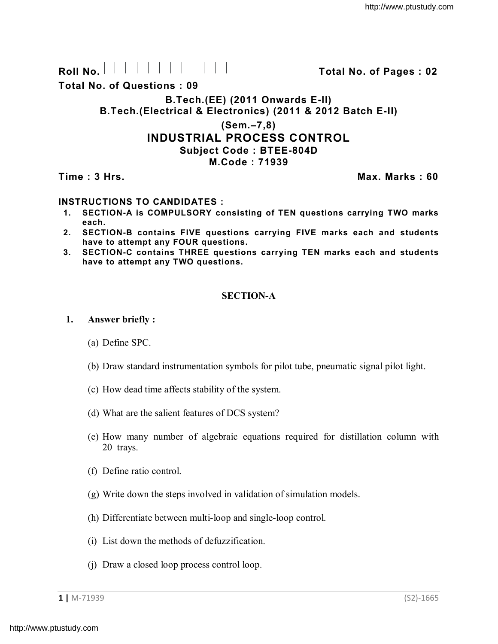| D   |  |  |  |  |  |  |
|-----|--|--|--|--|--|--|
| . . |  |  |  |  |  |  |

**Total No. of Questions : 09**

**B.Tech.(EE) (2011 Onwards E-II)**

**B.Tech.(Electrical & Electronics) (2011 & 2012 Batch E-II)** 

### **(Sem.–7,8) INDUSTRIAL PROCESS CONTROL Subject Code : BTEE-804D M.Code : 71939**

# **Time : 3 Hrs. Max. Marks : 60**

**Roll No. Total No. of Pages : 02**

# **INSTRUCTIONS TO CANDIDATES :**

- **1. SECTION-A is COMPULSORY consisting of TEN questions carrying TWO marks each.**
- **2. SECTION-B contains FIVE questions carrying FIVE marks each and students have to attempt any FOUR questions.**
- **3. SECTION-C contains THREE questions carrying TEN marks each and students have to attempt any TWO questions.**

### **SECTION-A**

#### **1. Answer briefly :**

- (a) Define SPC.
- (b) Draw standard instrumentation symbols for pilot tube, pneumatic signal pilot light.
- (c) How dead time affects stability of the system.
- (d) What are the salient features of DCS system?
- (e) How many number of algebraic equations required for distillation column with 20 trays.
- (f) Define ratio control.
- (g) Write down the steps involved in validation of simulation models.
- (h) Differentiate between multi-loop and single-loop control.
- (i) List down the methods of defuzzification.
- (j) Draw a closed loop process control loop.